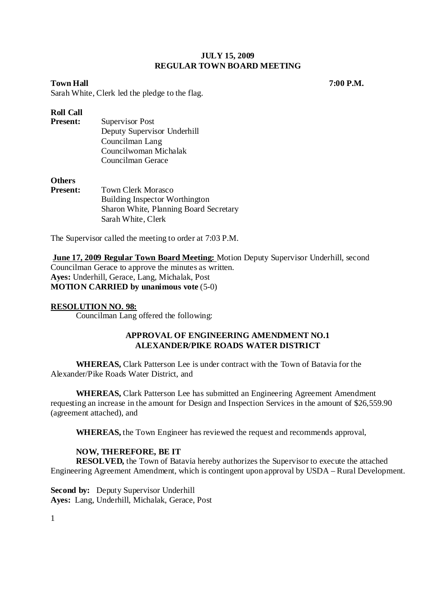**Town Hall 7:00 P.M.** *7* 

Sarah White, Clerk led the pledge to the flag.

# **Roll Call**

| <b>Present:</b> | Supervisor Post             |
|-----------------|-----------------------------|
|                 | Deputy Supervisor Underhill |
|                 | Councilman Lang             |
|                 | Councilwoman Michalak       |
|                 | Councilman Gerace           |

# **Others**

| <b>Present:</b> | <b>Town Clerk Morasco</b>              |
|-----------------|----------------------------------------|
|                 | Building Inspector Worthington         |
|                 | Sharon White, Planning Board Secretary |
|                 | Sarah White, Clerk                     |

The Supervisor called the meeting to order at 7:03 P.M.

**June 17, 2009 Regular Town Board Meeting:** Motion Deputy Supervisor Underhill, second Councilman Gerace to approve the minutes as written. **Ayes:** Underhill, Gerace, Lang, Michalak, Post **MOTION CARRIED by unanimous vote** (5-0)

# **RESOLUTION NO. 98:**

Councilman Lang offered the following:

# **APPROVAL OF ENGINEERING AMENDMENT NO.1 ALEXANDER/PIKE ROADS WATER DISTRICT**

**WHEREAS,** Clark Patterson Lee is under contract with the Town of Batavia for the Alexander/Pike Roads Water District, and

**WHEREAS,** Clark Patterson Lee has submitted an Engineering Agreement Amendment requesting an increase in the amount for Design and Inspection Services in the amount of \$26,559.90 (agreement attached), and

**WHEREAS,** the Town Engineer has reviewed the request and recommends approval,

# **NOW, THEREFORE, BE IT**

**RESOLVED,** the Town of Batavia hereby authorizes the Supervisor to execute the attached Engineering Agreement Amendment, which is contingent upon approval by USDA – Rural Development.

**Second by:** Deputy Supervisor Underhill **Ayes:** Lang, Underhill, Michalak, Gerace, Post

1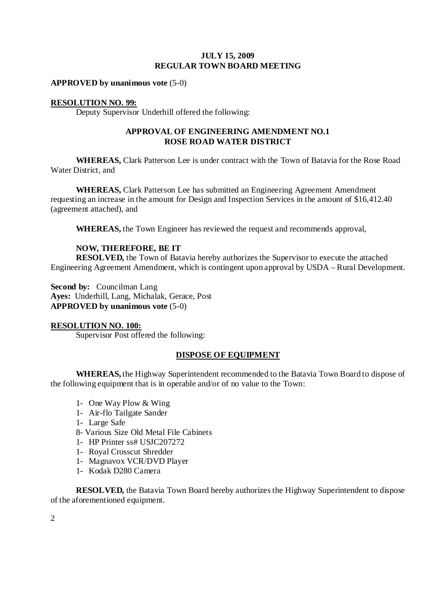**APPROVED by unanimous vote** (5-0)

## **RESOLUTION NO. 99:**

Deputy Supervisor Underhill offered the following:

# **APPROVAL OF ENGINEERING AMENDMENT NO.1 ROSE ROAD WATER DISTRICT**

**WHEREAS,** Clark Patterson Lee is under contract with the Town of Batavia for the Rose Road Water District, and

**WHEREAS,** Clark Patterson Lee has submitted an Engineering Agreement Amendment requesting an increase in the amount for Design and Inspection Services in the amount of \$16,412.40 (agreement attached), and

**WHEREAS,** the Town Engineer has reviewed the request and recommends approval,

# **NOW, THEREFORE, BE IT**

**RESOLVED,** the Town of Batavia hereby authorizes the Supervisor to execute the attached Engineering Agreement Amendment, which is contingent upon approval by USDA – Rural Development.

**Second by:** Councilman Lang **Ayes:** Underhill, Lang, Michalak, Gerace, Post **APPROVED by unanimous vote** (5-0)

#### **RESOLUTION NO. 100:**

Supervisor Post offered the following:

# **DISPOSE OF EQUIPMENT**

**WHEREAS,** the Highway Superintendent recommended to the Batavia Town Board to dispose of the following equipment that is in operable and/or of no value to the Town:

- 1- One Way Plow & Wing
- 1- Air-flo Tailgate Sander
- 1- Large Safe
- 8- Various Size Old Metal File Cabinets
- 1- HP Printer ss# USJC207272
- 1- Royal Crosscut Shredder
- 1- Magnavox VCR/DVD Player
- 1- Kodak D280 Camera

**RESOLVED,** the Batavia Town Board hereby authorizes the Highway Superintendent to dispose of the aforementioned equipment.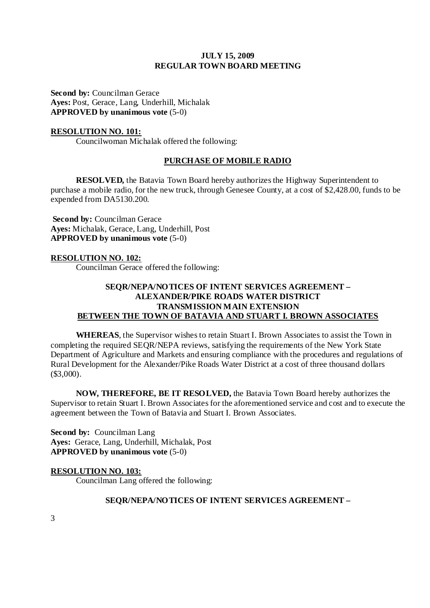**Second by:** Councilman Gerace **Ayes:** Post, Gerace, Lang, Underhill, Michalak **APPROVED by unanimous vote** (5-0)

#### **RESOLUTION NO. 101:**

Councilwoman Michalak offered the following:

# **PURCHASE OF MOBILE RADIO**

**RESOLVED,** the Batavia Town Board hereby authorizes the Highway Superintendent to purchase a mobile radio, for the new truck, through Genesee County, at a cost of \$2,428.00, funds to be expended from DA5130.200.

**Second by: Councilman Gerace Ayes:** Michalak, Gerace, Lang, Underhill, Post **APPROVED by unanimous vote** (5-0)

#### **RESOLUTION NO. 102:**

Councilman Gerace offered the following:

# **SEQR/NEPA/NOTICES OF INTENT SERVICES AGREEMENT – ALEXANDER/PIKE ROADS WATER DISTRICT TRANSMISSION MAIN EXTENSION BETWEEN THE TOWN OF BATAVIA AND STUART I. BROWN ASSOCIATES**

**WHEREAS**, the Supervisor wishes to retain Stuart I. Brown Associates to assist the Town in completing the required SEQR/NEPA reviews, satisfying the requirements of the New York State Department of Agriculture and Markets and ensuring compliance with the procedures and regulations of Rural Development for the Alexander/Pike Roads Water District at a cost of three thousand dollars  $($3,000)$ .

**NOW, THEREFORE, BE IT RESOLVED,** the Batavia Town Board hereby authorizes the Supervisor to retain Stuart I. Brown Associates for the aforementioned service and cost and to execute the agreement between the Town of Batavia and Stuart I. Brown Associates.

**Second by: Councilman Lang Ayes:** Gerace, Lang, Underhill, Michalak, Post **APPROVED by unanimous vote** (5-0)

# **RESOLUTION NO. 103:**

Councilman Lang offered the following:

#### **SEQR/NEPA/NOTICES OF INTENT SERVICES AGREEMENT –**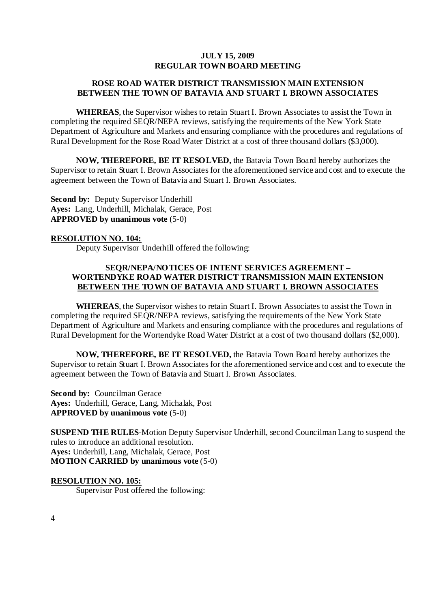# **ROSE ROAD WATER DISTRICT TRANSMISSION MAIN EXTENSION BETWEEN THE TOWN OF BATAVIA AND STUART I. BROWN ASSOCIATES**

**WHEREAS**, the Supervisor wishes to retain Stuart I. Brown Associates to assist the Town in completing the required SEQR/NEPA reviews, satisfying the requirements of the New York State Department of Agriculture and Markets and ensuring compliance with the procedures and regulations of Rural Development for the Rose Road Water District at a cost of three thousand dollars (\$3,000).

**NOW, THEREFORE, BE IT RESOLVED,** the Batavia Town Board hereby authorizes the Supervisor to retain Stuart I. Brown Associates for the aforementioned service and cost and to execute the agreement between the Town of Batavia and Stuart I. Brown Associates.

**Second by: Deputy Supervisor Underhill Ayes:** Lang, Underhill, Michalak, Gerace, Post **APPROVED by unanimous vote** (5-0)

#### **RESOLUTION NO. 104:**

Deputy Supervisor Underhill offered the following:

# **SEQR/NEPA/NOTICES OF INTENT SERVICES AGREEMENT – WORTENDYKE ROAD WATER DISTRICT TRANSMISSION MAIN EXTENSION BETWEEN THE TOWN OF BATAVIA AND STUART I. BROWN ASSOCIATES**

**WHEREAS**, the Supervisor wishes to retain Stuart I. Brown Associates to assist the Town in completing the required SEQR/NEPA reviews, satisfying the requirements of the New York State Department of Agriculture and Markets and ensuring compliance with the procedures and regulations of Rural Development for the Wortendyke Road Water District at a cost of two thousand dollars (\$2,000).

**NOW, THEREFORE, BE IT RESOLVED,** the Batavia Town Board hereby authorizes the Supervisor to retain Stuart I. Brown Associates for the aforementioned service and cost and to execute the agreement between the Town of Batavia and Stuart I. Brown Associates.

**Second by: Councilman Gerace Ayes:** Underhill, Gerace, Lang, Michalak, Post **APPROVED by unanimous vote** (5-0)

**SUSPEND THE RULES**-Motion Deputy Supervisor Underhill, second Councilman Lang to suspend the rules to introduce an additional resolution. **Ayes:** Underhill, Lang, Michalak, Gerace, Post **MOTION CARRIED by unanimous vote** (5-0)

# **RESOLUTION NO. 105:**

Supervisor Post offered the following: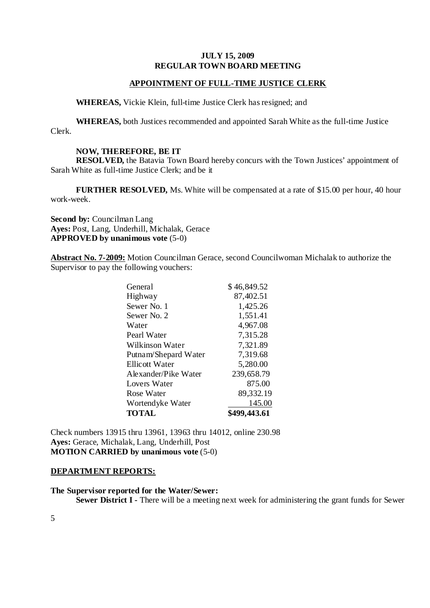# **APPOINTMENT OF FULL-TIME JUSTICE CLERK**

 **WHEREAS,** Vickie Klein, full-time Justice Clerk has resigned; and

**WHEREAS,** both Justices recommended and appointed Sarah White as the full-time Justice Clerk.

#### **NOW, THEREFORE, BE IT**

**RESOLVED,** the Batavia Town Board hereby concurs with the Town Justices' appointment of Sarah White as full-time Justice Clerk; and be it

**FURTHER RESOLVED,** Ms. White will be compensated at a rate of \$15.00 per hour, 40 hour work-week.

**Second by:** Councilman Lang **Ayes:** Post, Lang, Underhill, Michalak, Gerace **APPROVED by unanimous vote** (5-0)

**Abstract No. 7-2009:** Motion Councilman Gerace, second Councilwoman Michalak to authorize the Supervisor to pay the following vouchers:

| <b>TOTAL</b>         | \$499,443.61 |
|----------------------|--------------|
| Wortendyke Water     | 145.00       |
| Rose Water           | 89,332.19    |
| <b>Lovers Water</b>  | 875.00       |
| Alexander/Pike Water | 239,658.79   |
| Ellicott Water       | 5,280.00     |
| Putnam/Shepard Water | 7,319.68     |
| Wilkinson Water      | 7,321.89     |
| Pearl Water          | 7,315.28     |
| Water                | 4,967.08     |
| Sewer No. 2          | 1,551.41     |
| Sewer No. 1          | 1,425.26     |
| Highway              | 87,402.51    |
| General              | \$46,849.52  |

Check numbers 13915 thru 13961, 13963 thru 14012, online 230.98 **Ayes:** Gerace, Michalak, Lang, Underhill, Post **MOTION CARRIED by unanimous vote** (5-0)

#### **DEPARTMENT REPORTS:**

#### **The Supervisor reported for the Water/Sewer:**

**Sewer District I** - There will be a meeting next week for administering the grant funds for Sewer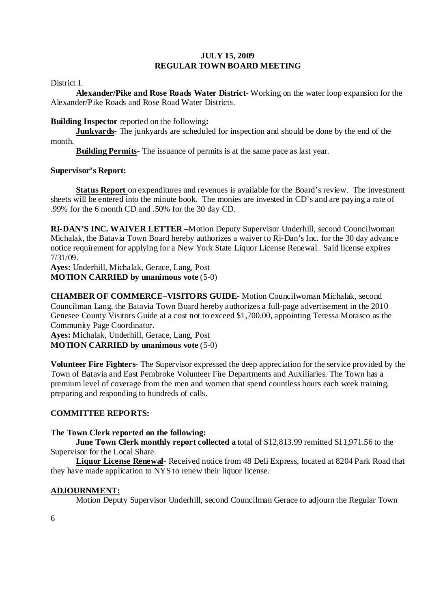District I.

**Alexander/Pike and Rose Roads Water District-** Working on the water loop expansion for the Alexander/Pike Roads and Rose Road Water Districts.

#### **Building Inspector** reported on the following**:**

**Junkyards-** The junkyards are scheduled for inspection and should be done by the end of the month.

**Building Permits-** The issuance of permits is at the same pace as last year.

# **Supervisor's Report:**

**Status Report** on expenditures and revenues is available for the Board's review. The investment sheets will be entered into the minute book. The monies are invested in CD's and are paying a rate of .99% for the 6 month CD and .50% for the 30 day CD.

**RI-DAN'S INC. WAIVER LETTER –**Motion Deputy Supervisor Underhill, second Councilwoman Michalak, the Batavia Town Board hereby authorizes a waiver to Ri-Dan's Inc. for the 30 day advance notice requirement for applying for a New York State Liquor License Renewal. Said license expires 7/31/09.

**Ayes:** Underhill, Michalak, Gerace, Lang, Post **MOTION CARRIED by unanimous vote** (5-0)

**CHAMBER OF COMMERCE–VISITORS GUIDE-** Motion Councilwoman Michalak, second Councilman Lang, the Batavia Town Board hereby authorizes a full-page advertisement in the 2010 Genesee County Visitors Guide at a cost not to exceed \$1,700.00, appointing Teressa Morasco as the Community Page Coordinator.

**Ayes:** Michalak, Underhill, Gerace, Lang, Post **MOTION CARRIED by unanimous vote** (5-0)

**Volunteer Fire Fighters-** The Supervisor expressed the deep appreciation for the service provided by the Town of Batavia and East Pembroke Volunteer Fire Departments and Auxiliaries. The Town has a premium level of coverage from the men and women that spend countless hours each week training, preparing and responding to hundreds of calls.

# **COMMITTEE REPORTS:**

# **The Town Clerk reported on the following:**

**June Town Clerk monthly report collected a** total of \$12,813.99 remitted \$11,971.56 to the Supervisor for the Local Share.

**Liquor License Renewal**- Received notice from 48 Deli Express, located at 8204 Park Road that they have made application to NYS to renew their liquor license.

# **ADJOURNMENT:**

Motion Deputy Supervisor Underhill, second Councilman Gerace to adjourn the Regular Town